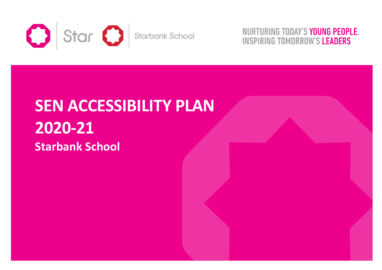

NURTURING TODAY'S YOUNG PEOPLE, **INSPIRING TOMORROW'S LEADERS** 

## **SEN ACCESSIBILITY PLAN2020-21 Starbank School**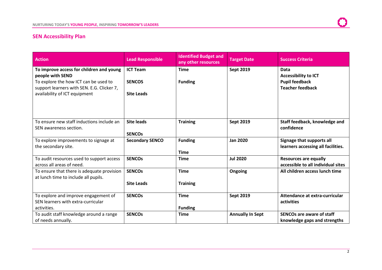## **SEN Accessibility Plan**

| <b>Action</b>                                                          | <b>Lead Responsible</b> | <b>Identified Budget and</b><br>any other resources | <b>Target Date</b>      | <b>Success Criteria</b>                                            |
|------------------------------------------------------------------------|-------------------------|-----------------------------------------------------|-------------------------|--------------------------------------------------------------------|
| To improve access for children and young<br>people with SEND           | <b>ICT Team</b>         | <b>Time</b>                                         | <b>Sept 2019</b>        | Data                                                               |
| To explore the how ICT can be used to                                  | <b>SENCOS</b>           | <b>Funding</b>                                      |                         | <b>Accessibility to ICT</b><br><b>Pupil feedback</b>               |
| support learners with SEN. E.G. Clicker 7,                             |                         |                                                     |                         | <b>Teacher feedback</b>                                            |
| availability of ICT equipment                                          | <b>Site Leads</b>       |                                                     |                         |                                                                    |
|                                                                        |                         |                                                     |                         |                                                                    |
| To ensure new staff inductions include an                              | <b>Site leads</b>       | <b>Training</b>                                     | <b>Sept 2019</b>        | Staff feedback, knowledge and                                      |
| SEN awareness section.                                                 |                         |                                                     |                         | confidence                                                         |
|                                                                        | <b>SENCOS</b>           |                                                     |                         |                                                                    |
| To explore improvements to signage at                                  | <b>Secondary SENCO</b>  | <b>Funding</b>                                      | <b>Jan 2020</b>         | Signage that supports all                                          |
| the secondary site.                                                    |                         | <b>Time</b>                                         |                         | learners accessing all facilities.                                 |
| To audit resources used to support access<br>across all areas of need. | <b>SENCOS</b>           | <b>Time</b>                                         | <b>Jul 2020</b>         | <b>Resources are equally</b><br>accessible to all individual sites |
| To ensure that there is adequate provision                             | <b>SENCOs</b>           | <b>Time</b>                                         | Ongoing                 | All children access lunch time                                     |
| at lunch time to include all pupils.                                   |                         |                                                     |                         |                                                                    |
|                                                                        | <b>Site Leads</b>       | <b>Training</b>                                     |                         |                                                                    |
| To explore and improve engagement of                                   | <b>SENCOS</b>           | <b>Time</b>                                         | <b>Sept 2019</b>        | Attendance at extra-curricular                                     |
| SEN learners with extra-curricular                                     |                         |                                                     |                         | activities                                                         |
| activities.                                                            |                         | <b>Funding</b>                                      |                         |                                                                    |
| To audit staff knowledge around a range                                | <b>SENCOS</b>           | <b>Time</b>                                         | <b>Annually In Sept</b> | <b>SENCOs are aware of staff</b>                                   |
| of needs annually.                                                     |                         |                                                     |                         | knowledge gaps and strengths                                       |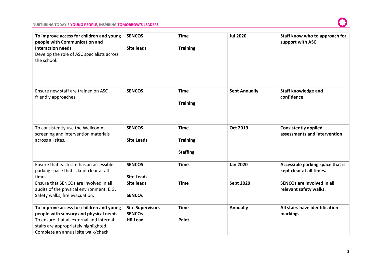## **NURTURING TODAY'S YOUNG PEOPLE, INSPIRING TOMORROW'S LEADERS**

| To improve access for children and young<br>people with Communication and<br><b>Interaction needs</b><br>Develop the role of ASC specialists across<br>the school.                                             | <b>SENCOS</b><br><b>Site leads</b>                         | <b>Time</b><br><b>Training</b>                    | <b>Jul 2020</b>      | Staff know who to approach for<br>support with ASC           |
|----------------------------------------------------------------------------------------------------------------------------------------------------------------------------------------------------------------|------------------------------------------------------------|---------------------------------------------------|----------------------|--------------------------------------------------------------|
| Ensure new staff are trained on ASC<br>friendly approaches.                                                                                                                                                    | <b>SENCOS</b>                                              | <b>Time</b><br><b>Training</b>                    | <b>Sept Annually</b> | <b>Staff knowledge and</b><br>confidence                     |
| To consistently use the Wellcomm<br>screening and intervention materials<br>across all sites.                                                                                                                  | <b>SENCOS</b><br><b>Site Leads</b>                         | <b>Time</b><br><b>Training</b><br><b>Staffing</b> | Oct 2019             | <b>Consistently applied</b><br>assessments and intervention  |
| Ensure that each site has an accessible<br>parking space that is kept clear at all<br>times.                                                                                                                   | <b>SENCOS</b><br><b>Site Leads</b>                         | <b>Time</b>                                       | <b>Jan 2020</b>      | Accessible parking space that is<br>kept clear at all times. |
| Ensure that SENCOs are involved in all<br>audits of the physical environment. E.G.<br>Safety walks, fire evacuation,                                                                                           | <b>Site leads</b><br><b>SENCOS</b>                         | <b>Time</b>                                       | <b>Sept 2020</b>     | SENCOs are involved in all<br>relevant safety walks.         |
| To improve access for children and young<br>people with sensory and physical needs<br>To ensure that all external and internal<br>stairs are appropriately highlighted.<br>Complete an annual site walk/check. | <b>Site Supervisors</b><br><b>SENCOS</b><br><b>HR Lead</b> | <b>Time</b><br>Paint                              | <b>Annually</b>      | All stairs have identification<br>markings                   |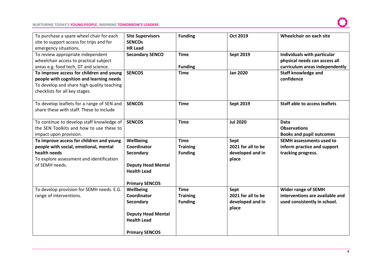| To purchase a spare wheel chair for each<br>site to support access for trips and for<br>emergency situations.                                                        | <b>Site Supervisors</b><br><b>SENCOs</b><br><b>HR Lead</b>                                                        | <b>Funding</b>                                   | Oct 2019                                                | Wheelchair on each site                                                                        |
|----------------------------------------------------------------------------------------------------------------------------------------------------------------------|-------------------------------------------------------------------------------------------------------------------|--------------------------------------------------|---------------------------------------------------------|------------------------------------------------------------------------------------------------|
| To review appropriate independent<br>wheelchair access to practical subject<br>areas e.g. food tech, DT and science.                                                 | <b>Secondary SENCO</b>                                                                                            | <b>Time</b><br><b>Funding</b>                    | <b>Sept 2019</b>                                        | Individuals with particular<br>physical needs can access all<br>curriculum areas independently |
| To improve access for children and young<br>people with cognition and learning needs<br>To develop and share high quality teaching<br>checklists for all key stages. | <b>SENCOS</b>                                                                                                     | <b>Time</b>                                      | <b>Jan 2020</b>                                         | <b>Staff knowledge and</b><br>confidence                                                       |
| To develop leaflets for a range of SEN and<br>share these with staff. These to include                                                                               | <b>SENCOS</b>                                                                                                     | <b>Time</b>                                      | <b>Sept 2019</b>                                        | <b>Staff able to access leaflets</b>                                                           |
| To continue to develop staff knowledge of<br>the SEN Toolkits and how to use these to<br>impact upon provision.                                                      | <b>SENCOS</b>                                                                                                     | <b>Time</b>                                      | <b>Jul 2020</b>                                         | <b>Data</b><br><b>Observations</b><br><b>Books and pupil outcomes</b>                          |
| To improve access for children and young<br>people with social, emotional, mental<br>health needs<br>To explore assessment and identification<br>of SEMH needs.      | Wellbeing<br>Coordinator<br>Secondary<br><b>Deputy Head Mental</b><br><b>Health Lead</b><br><b>Primary SENCOS</b> | <b>Time</b><br><b>Training</b><br><b>Funding</b> | Sept<br>2021 for all to be<br>developed and in<br>place | <b>SEMH</b> assessments used to<br>inform practice and support<br>tracking progress.           |
| To develop provision for SEMH needs. E.G.<br>range of interventions.                                                                                                 | Wellbeing<br>Coordinator<br>Secondary<br><b>Deputy Head Mental</b><br><b>Health Lead</b><br><b>Primary SENCOS</b> | <b>Time</b><br><b>Training</b><br><b>Funding</b> | Sept<br>2021 for all to be<br>developed and in<br>place | <b>Wider range of SEMH</b><br>interventions are available and<br>used consistently in school.  |